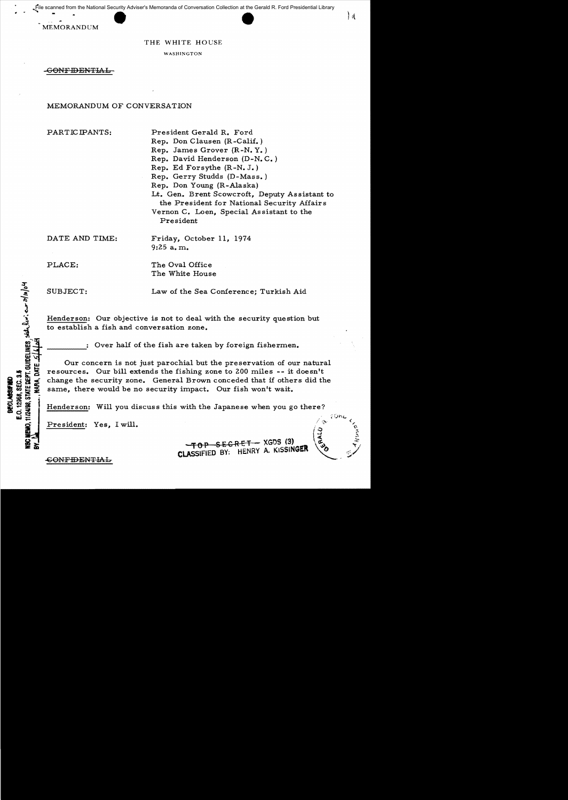File scanned from the National Security Adviser's Memoranda of Conversation Collection at the Gerald R. Ford Presidential Library

MEMORANDUM

### THE WHITE HOUSE

WASHINGTON

-CONFIDENTIAL

### MEMORANDUM OF CONVERSATION

PARTICIPANTS: President Gerald R. Ford

Rep. Don Clausen (R-Calif.) Rep. James Grover (R-N. Y. ) Rep. David Henderson (D-N. C. ) Rep. Ed Forsythe (R-N. J.) Rep. Gerry Studds (D-Mass.) Rep. Don Young (R-Alaska) Lt. Gen. Brent Scowcroft, Deputy Assistant to the President for National Security Affairs Vernon C. Loen, Special Assistant to the President

DATE AND TIME: Friday, October 11, 1974 9:25 a. m.

PLACE: The Oval Office The White House

E.V. 12300, SLV. 3.3<br>11/24188, STATE BEPT. GUIDELINES, SEE LEW': eux 21/10/04

E.O. 12958, SEC. 3.5 **BECLASSIFIED** 

**MRA, DATE** 

SUBJECT: Law of the Sea Conference; Turkish Aid

Henderson: Our objective is not to deal with the security question but to establish a fish and conversation zone.

Over half of the fish are taken by foreign fishermen.

Our concern is not just parochial but the preservation of our natural resources. Our bill extends the fishing zone to 200 miles -- it doesn't change the security zone. General Brown conceded that if others did the same, there would be no security impact. Our fish won't wait.

Henderson: Will you discuss this with the Japanese when you go there?

President: Yes, I will.

 $-TOP$  SECRET - XGDS (3) **CLASSIFIED BY: HENRY A. KISSINGER** 

 $\bf{1d}$ 

-GONFIDEl'lTlAL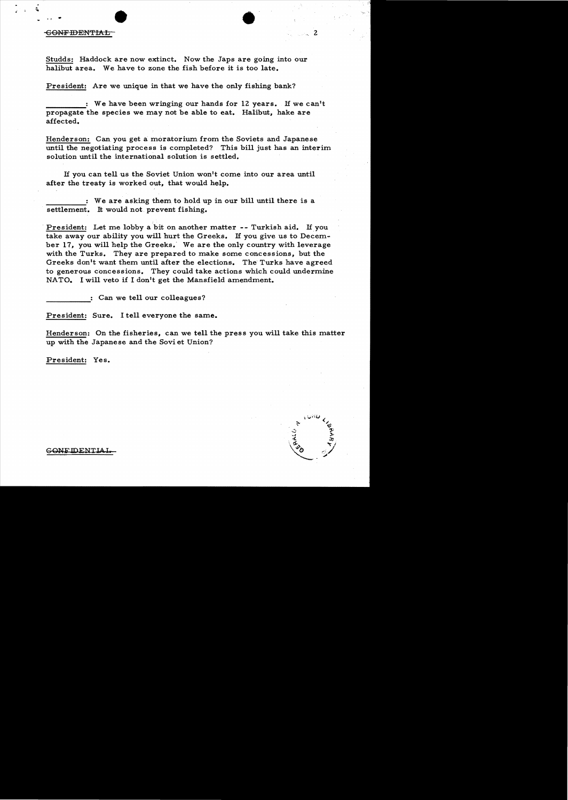#### CONFIDENTIAL

., .

i

Studds: Haddock are now extinct. Now the Japs are going into our halibut area. We have to zone the fish before it is too late.

President: Are we unique in that we have the only fishing bank?

: We have been wringing our hands for 12 years. If we can't propagate the species we may not be able to eat. Halibut, hake are affected.

Henderson: Can you get a moratorium from the Soviets and Japanese until the negotiating process is completed? This bill just has an interim solution until the international solution is settled.

If you can tell us the Soviet Union won't come into our area until after the treaty is worked out, that would help.

We are asking them to hold up in our bill until there is a settlement. It would not prevent fishing.

. President: Let me lobby a bit on another matter **--** Turkish aid. If you take away our ability you will hurt the Greeks. If you give us to December 17, you will help the Greeks. We are the only country with leverage with the Turks. They are prepared to make some concessions, but the Greeks don't want them until after the elections. The Turks have agreed to generous concessions. They could take actions which could undermine NATO. I will veto if I don't get the Mansfield amendment.

------ : Can we tell our colleagues?

President: Sure. I tell everyone the same.

Henderson: On the fisheries, can we tell the press you will take this matter up with the Japanese and the Sovi et Union?

President: Yes.

GONE IDENTIAL

•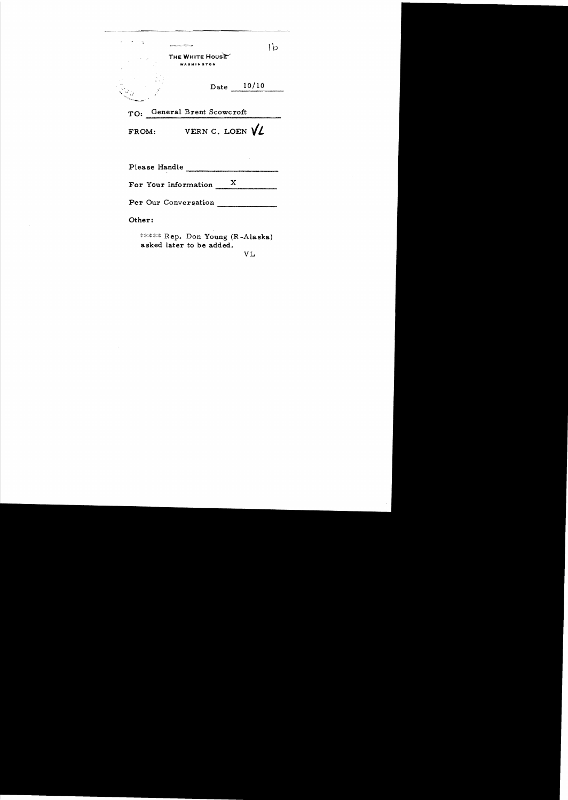| and the control of                  |                                      |  |              |
|-------------------------------------|--------------------------------------|--|--------------|
|                                     | THE WHITE HOUSE<br><b>WASHINGTON</b> |  |              |
|                                     |                                      |  | Date $10/10$ |
|                                     | TO: General Brent Scowcroft          |  |              |
| VERN C. LOEN $\sqrt{\ell}$<br>FROM: |                                      |  |              |
| Please Handle                       |                                      |  |              |
| For Your Information X              |                                      |  |              |
| Per Our Conversation                |                                      |  |              |
| Other:                              |                                      |  |              |

\*\*\*\*\* Rep. Don Young (R -Alaska) asked later to be added.

 $\sim$ 

VL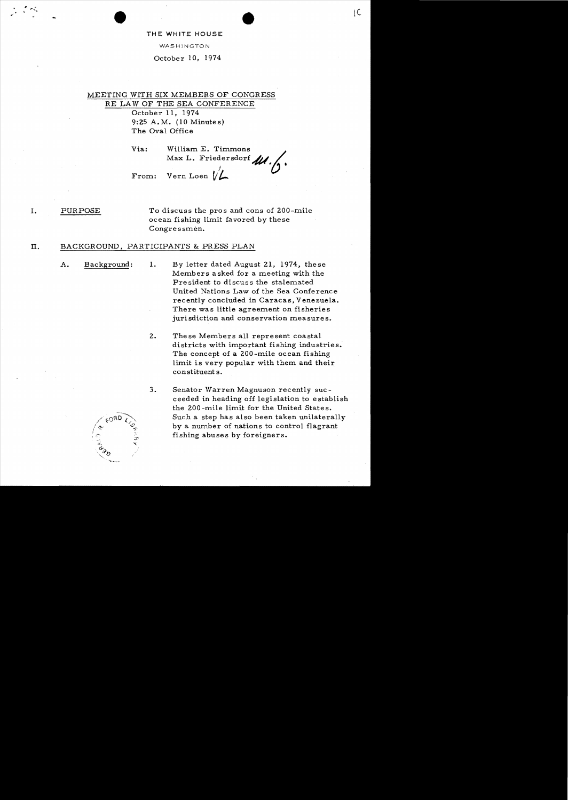### THE WHITE HOUSE

WASHINGTON

October 10, 1974

MEETING WITH SIX MEMBERS OF CONGRESS RE LAW OF THE SEA CONFERENCE October 11, 1974 9:25 A.M. (10 Minutes) The Oval Office

> Via: William E. Timmons William  $\overline{r}$ . Friedersdorf  $\overline{\mathcal{U}}$ . From: Vern Loen  $\mathcal{U}$

I. PURPOSE To discuss the pros and cons of ZOO-mile ocean fishing limit favored by these Congressmen.

## II. BACKGROUND, PARTICIPANTS & PRESS PLAN

- 
- A. Background: 1. By letter dated August 21, 1974, these Members asked for a meeting with the President to discuss the stalemated United Nations Law of the Sea Conference recently concluded in Caracas, Venezuela. There was little agreement on fisheries jurisdiction and conservation measures.
	- 2. These Members all represent coastal districts with important fishing industries. The concept of a ZOO-mile ocean fishing limit is very popular with them and their constituent s.
	- 3. Senator Warren Magnuson recently succeeded in heading off legislation to establish the ZOO-mile limit for the United States. Such a step has also been taken unilaterally by a number of nations to control flagrant fishing abuses by foreigners.



". .. .. .' " ' - \e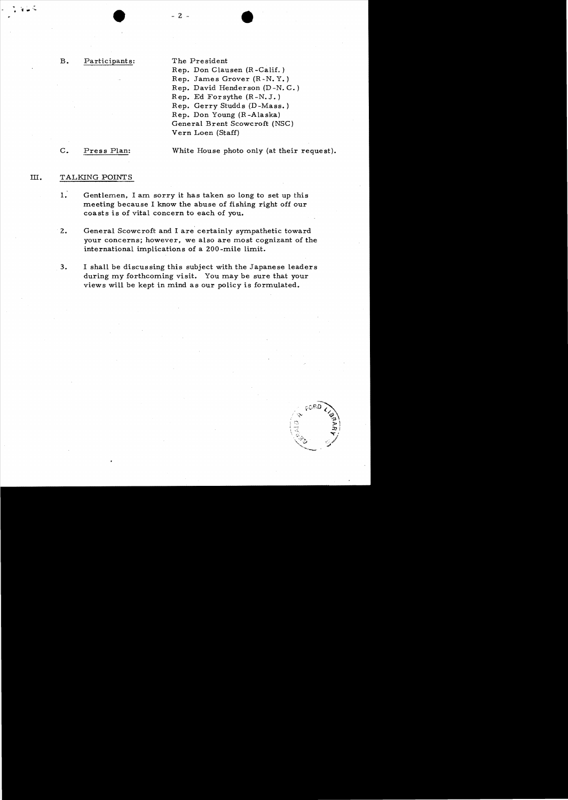## B. Participants: The President

Rep. Don Clausen (R -Calif. ) Rep. James Grover (R -N. Y. ) Rep. David Henderson (D -N. C. ) Rep. Ed Forsythe (R -N. J. ) Rep. Gerry Studds (D-Mass. ) Rep. Don Young (R -Alaska) General Brent Scowcroft (NSC) Vern Loen (Staff)

C. Press Plan: White House photo only (at their request).

# m. TALKING POINTS

- 1. Gentlemen. I am sorry it has taken so long to set up this meeting because I know the abuse of fishing right off our coasts is of vital concern to each of you.
- 2. General Scowcroft and I are certainly sympathetic toward your concerns; however. we also are most cognizant of the international implications of a 200 -mile limit.
- 3. I shall be discussing this subject with the Japanese leaders during my forthcoming visit. You may be sure that your views will be kept in mind as our policy is formulated.



 $-2 -$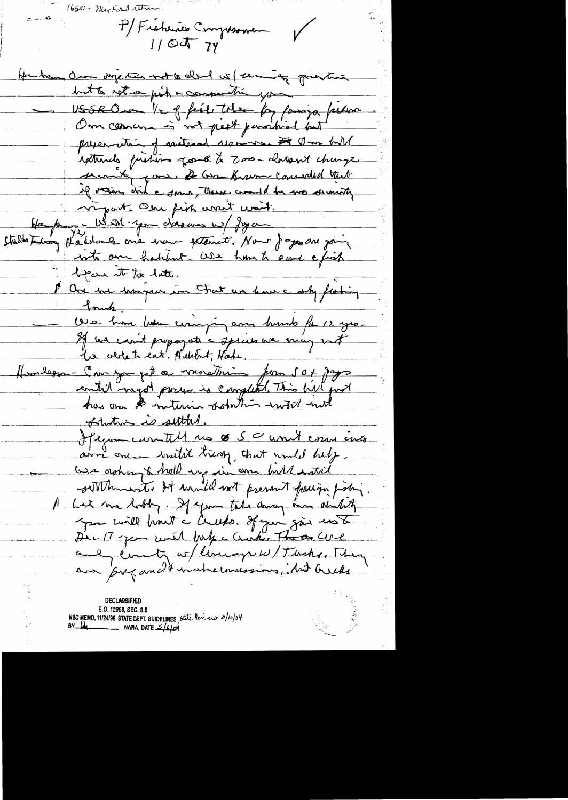$1630 - \frac{1}{4}$  has Ford retire P/Fishines Compressione  $\sqrt{2}$ Hanken On mychin not to don't we far and grantis but to not a pick a consecution you USSRO - "1 of feel toler for famiga feelen Om coman is not peet paratical but preservation of maternal desires. It Om hill igetternels fristing gove to zoo-charger change secont good, & Gran Krown concreted that if veros did a some, there could be no sermonty rapart. One fish work work. He des - US IM. you d'as une W/ Jeg on Studio termes paintvele one went extent. Nous joyer are join who am habbut. We have to some a fish been it to late. P. One we unique in Fat us have a only floring <u>Iomh.</u> Oue hom homme eniging and humb for 12 years If we can't propogate a speak we may not the oldert eat. Helebert, Hake. Homborn - Can you get a marchin for sox page has one & intercin solution with not of the is settled. Jegan contill us 6 50 unit enu ins and one with tresp, that would help We asking to hold up in one hill watil settlemment, It would not prevent faction probing Let me lothy. If you take danny and durcht you will prout a Cruster of your give us Die 17 -jean with July a Cristian That Cove aul éventy es/lemage w/Turks, They<br>aux preparads nationalements, identified

**DECLASSIFIED** E.O. 12958, SEC. 3.5 NSC MEMO, 11/24/98, STATE DEPT. GUIDELINES, state lev. eur  $3/10/04$ <br>BY LA \_\_\_\_\_\_\_\_\_\_\_\_\_\_, NARA, DATE  $\frac{5}{4}$